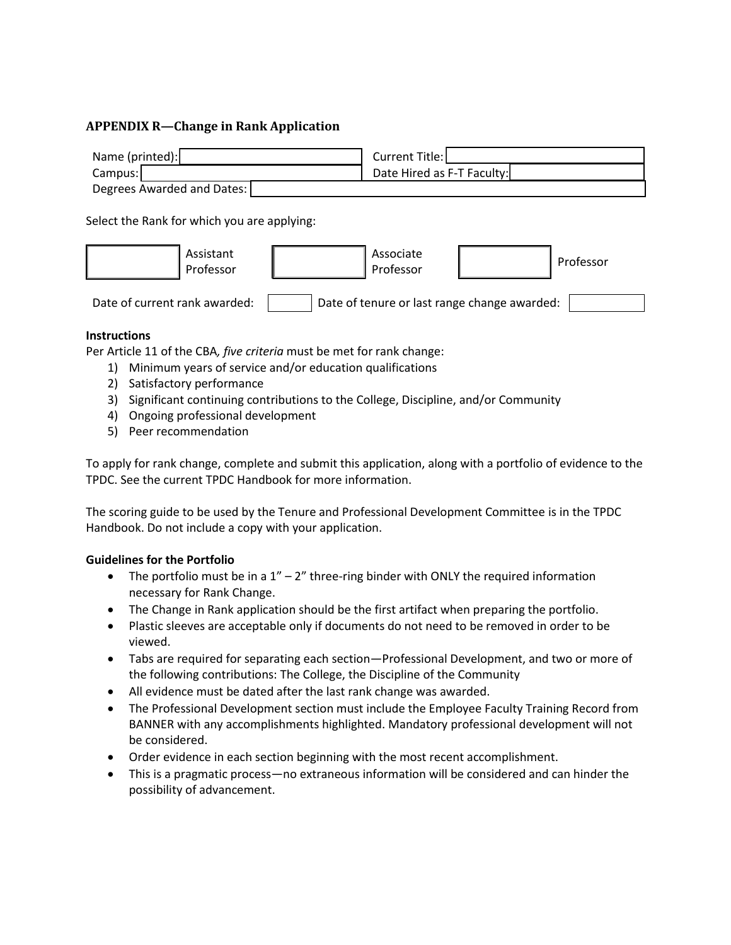# **APPENDIX R—Change in Rank Application**



Select the Rank for which you are applying:



#### **Instructions**

Per Article 11 of the CBA*, five criteria* must be met for rank change:

- 1) Minimum years of service and/or education qualifications
- 2) Satisfactory performance
- 3) Significant continuing contributions to the College, Discipline, and/or Community
- 4) Ongoing professional development
- 5) Peer recommendation

To apply for rank change, complete and submit this application, along with a portfolio of evidence to the TPDC. See the current TPDC Handbook for more information.

The scoring guide to be used by the Tenure and Professional Development Committee is in the TPDC Handbook. Do not include a copy with your application.

## **Guidelines for the Portfolio**

- The portfolio must be in a  $1'' 2''$  three-ring binder with ONLY the required information necessary for Rank Change.
- The Change in Rank application should be the first artifact when preparing the portfolio.
- Plastic sleeves are acceptable only if documents do not need to be removed in order to be viewed.
- Tabs are required for separating each section—Professional Development, and two or more of the following contributions: The College, the Discipline of the Community
- All evidence must be dated after the last rank change was awarded.
- The Professional Development section must include the Employee Faculty Training Record from BANNER with any accomplishments highlighted. Mandatory professional development will not be considered.
- Order evidence in each section beginning with the most recent accomplishment.
- This is a pragmatic process—no extraneous information will be considered and can hinder the possibility of advancement.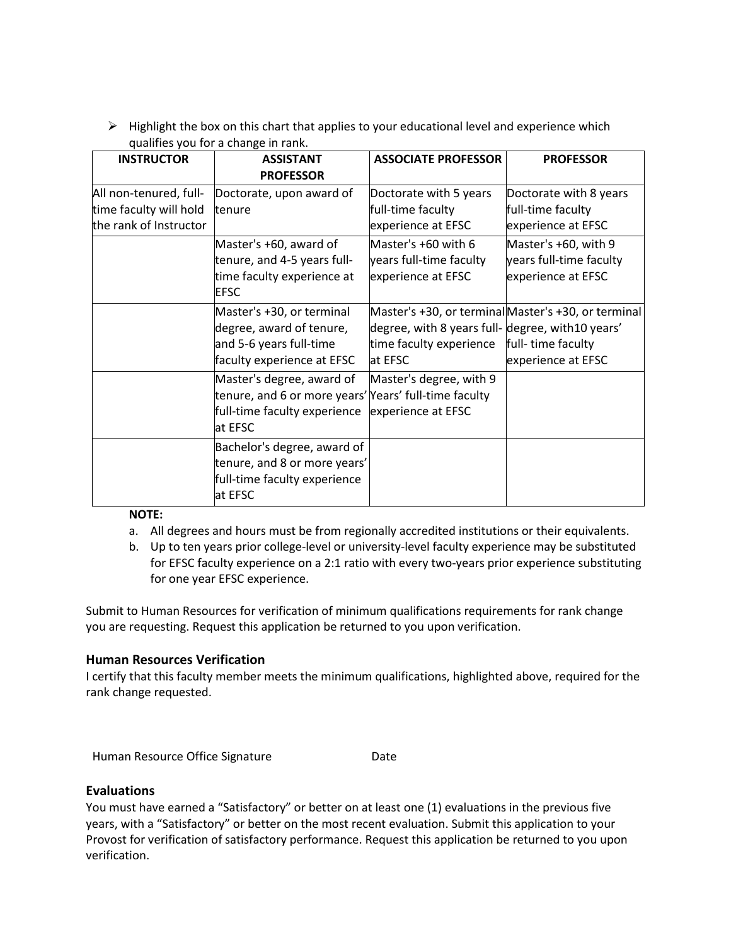$\triangleright$  Highlight the box on this chart that applies to your educational level and experience which qualifies you for a change in rank.

| <b>INSTRUCTOR</b>                                                          | <b>ASSISTANT</b>                                                                                                              | <b>ASSOCIATE PROFESSOR</b>                                                              | <b>PROFESSOR</b>                                                                               |
|----------------------------------------------------------------------------|-------------------------------------------------------------------------------------------------------------------------------|-----------------------------------------------------------------------------------------|------------------------------------------------------------------------------------------------|
|                                                                            | <b>PROFESSOR</b>                                                                                                              |                                                                                         |                                                                                                |
| All non-tenured, full-<br>time faculty will hold<br>the rank of Instructor | Doctorate, upon award of<br>tenure                                                                                            | Doctorate with 5 years<br>full-time faculty<br>experience at EFSC                       | Doctorate with 8 years<br>full-time faculty<br>experience at EFSC                              |
|                                                                            | Master's +60, award of<br>tenure, and 4-5 years full-<br>time faculty experience at<br><b>EFSC</b>                            | Master's +60 with 6<br>years full-time faculty<br>experience at EFSC                    | Master's +60, with 9<br>years full-time faculty<br>experience at EFSC                          |
|                                                                            | Master's +30, or terminal<br>degree, award of tenure,<br>and 5-6 years full-time<br>faculty experience at EFSC                | degree, with 8 years full- degree, with 10 years'<br>time faculty experience<br>at EFSC | Master's +30, or terminal Master's +30, or terminal<br>full-time faculty<br>experience at EFSC |
|                                                                            | Master's degree, award of<br>tenure, and 6 or more years' Years' full-time faculty<br>full-time faculty experience<br>at EFSC | Master's degree, with 9<br>experience at EFSC                                           |                                                                                                |
|                                                                            | Bachelor's degree, award of<br>tenure, and 8 or more years'<br>full-time faculty experience<br>at EFSC                        |                                                                                         |                                                                                                |

## **NOTE:**

- a. All degrees and hours must be from regionally accredited institutions or their equivalents.
- b. Up to ten years prior college‐level or university‐level faculty experience may be substituted for EFSC faculty experience on a 2:1 ratio with every two-years prior experience substituting for one year EFSC experience.

Submit to Human Resources for verification of minimum qualifications requirements for rank change you are requesting. Request this application be returned to you upon verification.

## **Human Resources Verification**

I certify that this faculty member meets the minimum qualifications, highlighted above, required for the rank change requested.

Human Resource Office Signature **Date** 

## **Evaluations**

You must have earned a "Satisfactory" or better on at least one (1) evaluations in the previous five years, with a "Satisfactory" or better on the most recent evaluation. Submit this application to your Provost for verification of satisfactory performance. Request this application be returned to you upon verification.